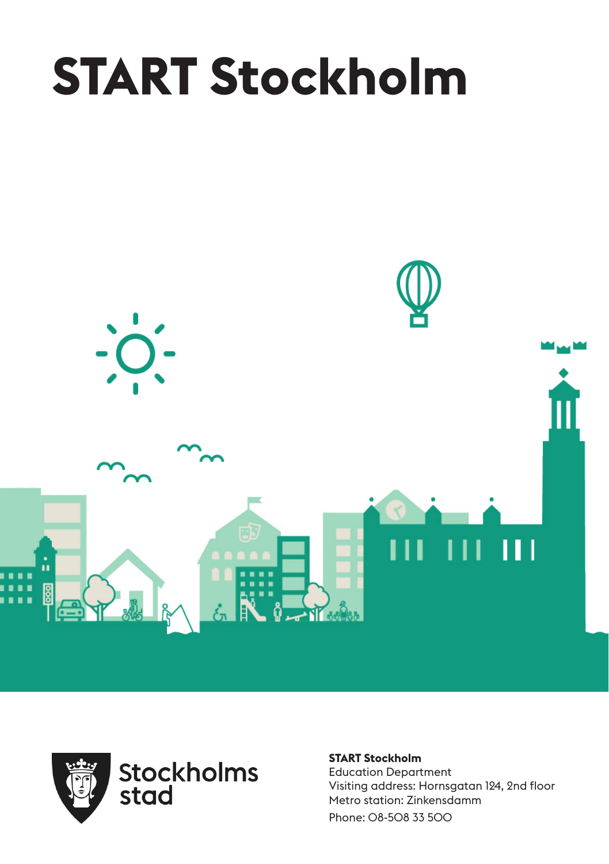# **START Stockholm**





**START Stockholm** Education Department Visiting address: Hornsgatan 124, 2nd floor Metro station: Zinkensdamm Phone: 08-508 33 500